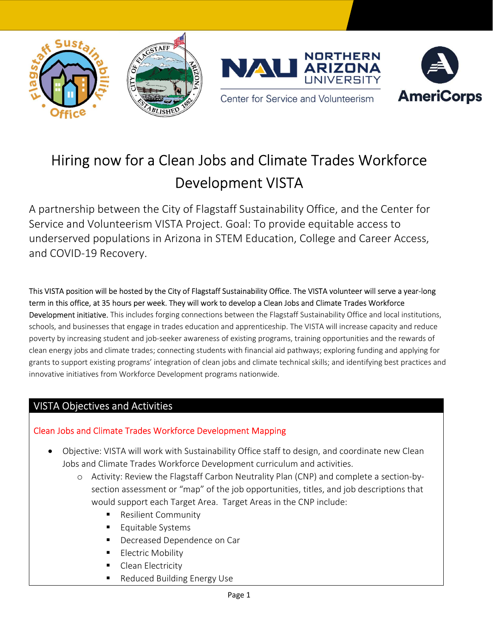





Center for Service and Volunteerism

# Hiring now for a Clean Jobs and Climate Trades Workforce Development VISTA

A partnership between the City of Flagstaff Sustainability Office, and the Center for Service and Volunteerism VISTA Project. Goal: To provide equitable access to underserved populations in Arizona in STEM Education, College and Career Access, and COVID-19 Recovery.

This VISTA position will be hosted by the City of Flagstaff Sustainability Office. The VISTA volunteer will serve a year-long term in this office, at 35 hours per week. They will work to develop a Clean Jobs and Climate Trades Workforce Development initiative. This includes forging connections between the Flagstaff Sustainability Office and local institutions, schools, and businesses that engage in trades education and apprenticeship. The VISTA will increase capacity and reduce poverty by increasing student and job-seeker awareness of existing programs, training opportunities and the rewards of clean energy jobs and climate trades; connecting students with financial aid pathways; exploring funding and applying for grants to support existing programs' integration of clean jobs and climate technical skills; and identifying best practices and innovative initiatives from Workforce Development programs nationwide.

## VISTA Objectives and Activities

### Clean Jobs and Climate Trades Workforce Development Mapping

- Objective: VISTA will work with Sustainability Office staff to design, and coordinate new Clean Jobs and Climate Trades Workforce Development curriculum and activities.
	- o Activity: Review the Flagstaff Carbon Neutrality Plan (CNP) and complete a section-bysection assessment or "map" of the job opportunities, titles, and job descriptions that would support each Target Area. Target Areas in the CNP include:
		- **Resilient Community**
		- **Equitable Systems**
		- Decreased Dependence on Car
		- **Electric Mobility**
		- Clean Electricity
		- Reduced Building Energy Use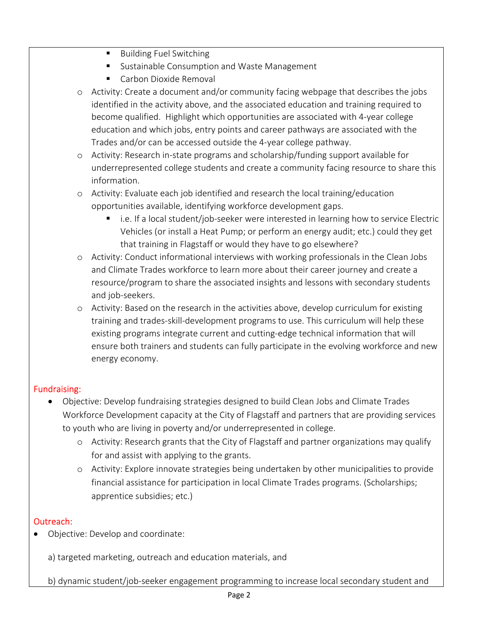- **Building Fuel Switching**
- **Sustainable Consumption and Waste Management**
- Carbon Dioxide Removal
- o Activity: Create a document and/or community facing webpage that describes the jobs identified in the activity above, and the associated education and training required to become qualified. Highlight which opportunities are associated with 4-year college education and which jobs, entry points and career pathways are associated with the Trades and/or can be accessed outside the 4-year college pathway.
- o Activity: Research in-state programs and scholarship/funding support available for underrepresented college students and create a community facing resource to share this information.
- o Activity: Evaluate each job identified and research the local training/education opportunities available, identifying workforce development gaps.
	- i.e. If a local student/job-seeker were interested in learning how to service Electric Vehicles (or install a Heat Pump; or perform an energy audit; etc.) could they get that training in Flagstaff or would they have to go elsewhere?
- o Activity: Conduct informational interviews with working professionals in the Clean Jobs and Climate Trades workforce to learn more about their career journey and create a resource/program to share the associated insights and lessons with secondary students and job-seekers.
- o Activity: Based on the research in the activities above, develop curriculum for existing training and trades-skill-development programs to use. This curriculum will help these existing programs integrate current and cutting-edge technical information that will ensure both trainers and students can fully participate in the evolving workforce and new energy economy.

#### Fundraising:

- Objective: Develop fundraising strategies designed to build Clean Jobs and Climate Trades Workforce Development capacity at the City of Flagstaff and partners that are providing services to youth who are living in poverty and/or underrepresented in college.
	- o Activity: Research grants that the City of Flagstaff and partner organizations may qualify for and assist with applying to the grants.
	- o Activity: Explore innovate strategies being undertaken by other municipalities to provide financial assistance for participation in local Climate Trades programs. (Scholarships; apprentice subsidies; etc.)

#### Outreach:

Objective: Develop and coordinate:

a) targeted marketing, outreach and education materials, and

b) dynamic student/job-seeker engagement programming to increase local secondary student and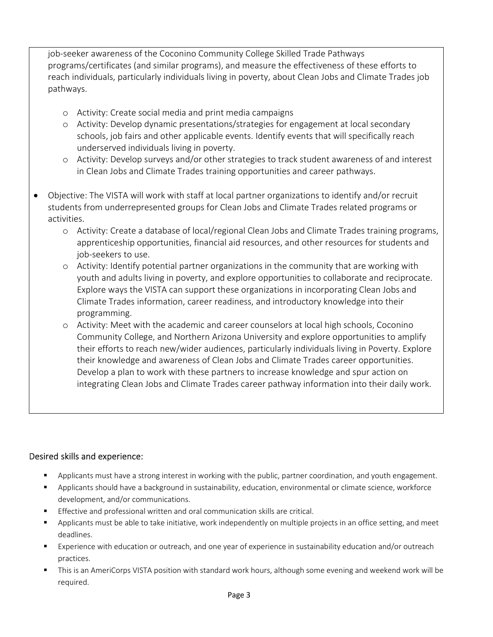job-seeker awareness of the Coconino Community College Skilled Trade Pathways programs/certificates (and similar programs), and measure the effectiveness of these efforts to reach individuals, particularly individuals living in poverty, about Clean Jobs and Climate Trades job pathways.

- o Activity: Create social media and print media campaigns
- o Activity: Develop dynamic presentations/strategies for engagement at local secondary schools, job fairs and other applicable events. Identify events that will specifically reach underserved individuals living in poverty.
- o Activity: Develop surveys and/or other strategies to track student awareness of and interest in Clean Jobs and Climate Trades training opportunities and career pathways.
- Objective: The VISTA will work with staff at local partner organizations to identify and/or recruit students from underrepresented groups for Clean Jobs and Climate Trades related programs or activities.
	- o Activity: Create a database of local/regional Clean Jobs and Climate Trades training programs, apprenticeship opportunities, financial aid resources, and other resources for students and job-seekers to use.
	- o Activity: Identify potential partner organizations in the community that are working with youth and adults living in poverty, and explore opportunities to collaborate and reciprocate. Explore ways the VISTA can support these organizations in incorporating Clean Jobs and Climate Trades information, career readiness, and introductory knowledge into their programming.
	- o Activity: Meet with the academic and career counselors at local high schools, Coconino Community College, and Northern Arizona University and explore opportunities to amplify their efforts to reach new/wider audiences, particularly individuals living in Poverty. Explore their knowledge and awareness of Clean Jobs and Climate Trades career opportunities. Develop a plan to work with these partners to increase knowledge and spur action on integrating Clean Jobs and Climate Trades career pathway information into their daily work.

#### Desired skills and experience:

- Applicants must have a strong interest in working with the public, partner coordination, and youth engagement.
- Applicants should have a background in sustainability, education, environmental or climate science, workforce development, and/or communications.
- Effective and professional written and oral communication skills are critical.
- **•** Applicants must be able to take initiative, work independently on multiple projects in an office setting, and meet deadlines.
- Experience with education or outreach, and one year of experience in sustainability education and/or outreach practices.
- This is an AmeriCorps VISTA position with standard work hours, although some evening and weekend work will be required.